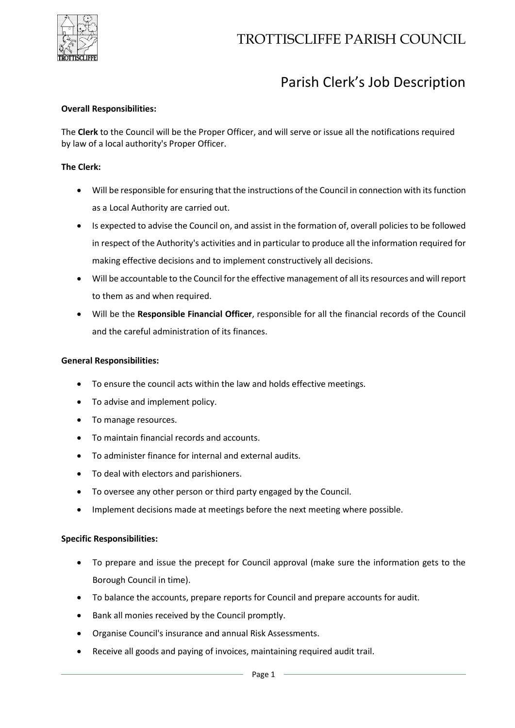

# Parish Clerk's Job Description

## **Overall Responsibilities:**

The **Clerk** to the Council will be the Proper Officer, and will serve or issue all the notifications required by law of a local authority's Proper Officer.

### **The Clerk:**

- Will be responsible for ensuring that the instructions of the Council in connection with its function as a Local Authority are carried out.
- Is expected to advise the Council on, and assist in the formation of, overall policies to be followed in respect of the Authority's activities and in particular to produce all the information required for making effective decisions and to implement constructively all decisions.
- Will be accountable to the Council for the effective management of all its resources and will report to them as and when required.
- Will be the **Responsible Financial Officer**, responsible for all the financial records of the Council and the careful administration of its finances.

#### **General Responsibilities:**

- To ensure the council acts within the law and holds effective meetings.
- To advise and implement policy.
- To manage resources.
- To maintain financial records and accounts.
- To administer finance for internal and external audits.
- To deal with electors and parishioners.
- To oversee any other person or third party engaged by the Council.
- Implement decisions made at meetings before the next meeting where possible.

# **Specific Responsibilities:**

- To prepare and issue the precept for Council approval (make sure the information gets to the Borough Council in time).
- To balance the accounts, prepare reports for Council and prepare accounts for audit.
- Bank all monies received by the Council promptly.
- Organise Council's insurance and annual Risk Assessments.
- Receive all goods and paying of invoices, maintaining required audit trail.